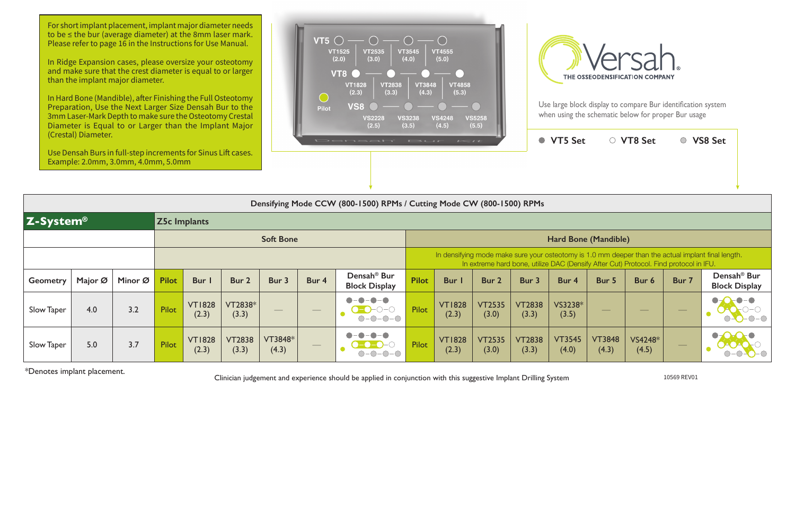| (Crestal) Diameter.<br>Use Densah Burs in full-step increments for Sinus Lift cases.<br>Example: 2.0mm, 3.0mm, 4.0mm, 5.0mm |         |         |              |                        |                        |                  |                   | Densah' Bur                                                           |                                                                                                                                                                                             | $I \leq I$             |                        |                        | ● VT5 Set              |                                | ○ VT8 Set        |                                 | ○ VS8 Set                                       |  |  |
|-----------------------------------------------------------------------------------------------------------------------------|---------|---------|--------------|------------------------|------------------------|------------------|-------------------|-----------------------------------------------------------------------|---------------------------------------------------------------------------------------------------------------------------------------------------------------------------------------------|------------------------|------------------------|------------------------|------------------------|--------------------------------|------------------|---------------------------------|-------------------------------------------------|--|--|
|                                                                                                                             |         |         |              |                        |                        |                  |                   | Densifying Mode CCW (800-1500) RPMs / Cutting Mode CW (800-1500) RPMs |                                                                                                                                                                                             |                        |                        |                        |                        |                                |                  |                                 |                                                 |  |  |
| Z-System <sup>®</sup>                                                                                                       |         |         |              | <b>Z5c Implants</b>    |                        |                  |                   |                                                                       |                                                                                                                                                                                             |                        |                        |                        |                        |                                |                  |                                 |                                                 |  |  |
| <b>Soft Bone</b>                                                                                                            |         |         |              |                        |                        |                  |                   |                                                                       | Hard Bone (Mandible)                                                                                                                                                                        |                        |                        |                        |                        |                                |                  |                                 |                                                 |  |  |
|                                                                                                                             |         |         |              |                        |                        |                  |                   |                                                                       | In densifying mode make sure your osteotomy is 1.0 mm deeper than the actual implant final length.<br>In extreme hard bone, utilize DAC (Densify After Cut) Protocol. Find protocol in IFU. |                        |                        |                        |                        |                                |                  |                                 |                                                 |  |  |
| <b>Geometry</b>                                                                                                             | Major Ø | Minor Ø | <b>Pilot</b> | Bur I                  | Bur 2                  | Bur 3            | Bur 4             | Densah <sup>®</sup> Bur<br><b>Block Display</b>                       | <b>Pilot</b>                                                                                                                                                                                | Bur                    | Bur 2                  | Bur 3                  | Bur 4                  | Bur 5                          | Bur 6            | Bur 7                           | Densah <sup>®</sup> Bur<br><b>Block Display</b> |  |  |
| Slow Taper                                                                                                                  | 4.0     | 3.2     | Pilot        | <b>VT1828</b><br>(2.3) | VT2838*<br>(3.3)       |                  | $\hspace{0.05cm}$ | $\bigcirc$ $\bigcirc$ $\bigcirc$ $\bigcirc$<br>$O-O-O-O$              | <b>Pilot</b>                                                                                                                                                                                | <b>VT1828</b><br>(2.3) | <b>VT2535</b><br>(3.0) | <b>VT2838</b><br>(3.3) | VS3238*<br>(3.5)       | $\overbrace{\hspace{25mm}}^{}$ |                  | $\hspace{0.1cm}-\hspace{0.1cm}$ |                                                 |  |  |
| Slow Taper                                                                                                                  | 5.0     | 3.7     | <b>Pilot</b> | <b>VT1828</b><br>(2.3) | <b>VT2838</b><br>(3.3) | VT3848*<br>(4.3) |                   |                                                                       | <b>Pilot</b>                                                                                                                                                                                | <b>VT1828</b><br>(2.3) | <b>VT2535</b><br>(3.0) | <b>VT2838</b><br>(3.3) | <b>VT3545</b><br>(4.0) | <b>VT3848</b><br>(4.3)         | VS4248*<br>(4.5) |                                 | $\bullet$                                       |  |  |

\*Denotes implant placement. Clinician judgement and experience should be applied in conjunction with this suggestive Implant Drilling System 10569 REV01

For short implant placement, implant major diameter needs to be ≤ the bur (average diameter) at the 8mm laser mark. Please refer to page 16 in the Instructions for Use Manual.

In Ridge Expansion cases, please oversize your osteotomy and make sure that the crest diameter is equal to or larger than the implant major diameter.

In Hard Bone (Mandible), after Finishing the Full Osteotomy Preparation, Use the Next Larger Size Densah Bur to the 3mm Laser-Mark Depth to make sure the Osteotomy Crestal Diameter is Equal to or Larger than the Implant Major (Crestal) Diameter.





Use large block display to compare Bur identification system when using the schematic below for proper Bur usage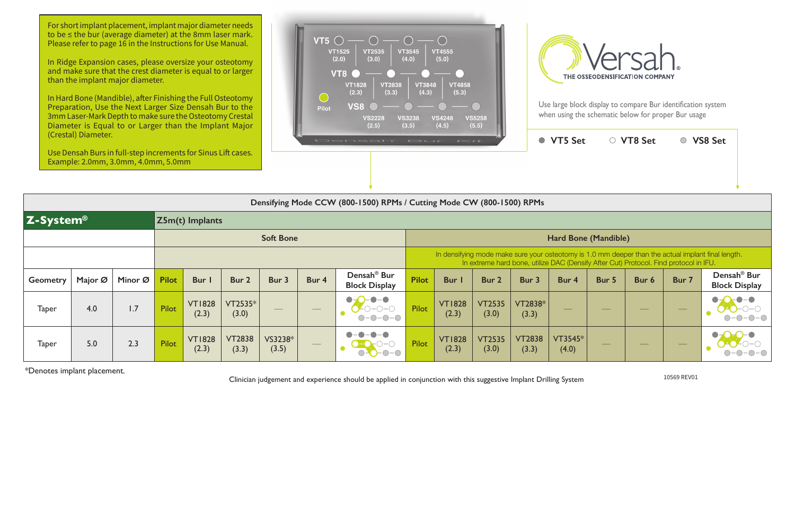| $\sqrt{1 + \frac{1}{2}}$                                                                                                                                                                    |                        |                        | <b>VT5 Set</b>   |       | <b>VT8 Set</b> |       | <b>VS8 Set</b>                                  |  |  |  |  |  |  |  |
|---------------------------------------------------------------------------------------------------------------------------------------------------------------------------------------------|------------------------|------------------------|------------------|-------|----------------|-------|-------------------------------------------------|--|--|--|--|--|--|--|
|                                                                                                                                                                                             |                        |                        |                  |       |                |       |                                                 |  |  |  |  |  |  |  |
| Mode CW (800-1500) RPMs                                                                                                                                                                     |                        |                        |                  |       |                |       |                                                 |  |  |  |  |  |  |  |
|                                                                                                                                                                                             |                        |                        |                  |       |                |       |                                                 |  |  |  |  |  |  |  |
| Hard Bone (Mandible)                                                                                                                                                                        |                        |                        |                  |       |                |       |                                                 |  |  |  |  |  |  |  |
| In densifying mode make sure your osteotomy is 1.0 mm deeper than the actual implant final length.<br>In extreme hard bone, utilize DAC (Densify After Cut) Protocol. Find protocol in IFU. |                        |                        |                  |       |                |       |                                                 |  |  |  |  |  |  |  |
| <b>Bur</b> I                                                                                                                                                                                | Bur 2                  | Bur 3                  | Bur 4            | Bur 5 | Bur 6          | Bur 7 | Densah <sup>®</sup> Bur<br><b>Block Display</b> |  |  |  |  |  |  |  |
| <b>VT1828</b><br>(2.3)                                                                                                                                                                      | <b>VT2535</b><br>(3.0) | VT2838*<br>(3.3)       |                  |       |                |       |                                                 |  |  |  |  |  |  |  |
| <b>VT1828</b><br>(2.3)                                                                                                                                                                      | <b>VT2535</b><br>(3.0) | <b>VT2838</b><br>(3.3) | VT3545*<br>(4.0) |       |                |       |                                                 |  |  |  |  |  |  |  |

|                       | Densifying Mode CCW (800-1500) RPMs / Cutting Mode CW (800-1500) RPMs |         |              |                        |                        |                          |                                                                                                                                                                                             |                                                    |                      |                        |                        |                        |                          |       |                          |                          |                                                 |  |
|-----------------------|-----------------------------------------------------------------------|---------|--------------|------------------------|------------------------|--------------------------|---------------------------------------------------------------------------------------------------------------------------------------------------------------------------------------------|----------------------------------------------------|----------------------|------------------------|------------------------|------------------------|--------------------------|-------|--------------------------|--------------------------|-------------------------------------------------|--|
| Z-System <sup>®</sup> |                                                                       |         |              | $Z5m(t)$ Implants      |                        |                          |                                                                                                                                                                                             |                                                    |                      |                        |                        |                        |                          |       |                          |                          |                                                 |  |
|                       |                                                                       |         |              |                        |                        | <b>Soft Bone</b>         |                                                                                                                                                                                             |                                                    | Hard Bone (Mandible) |                        |                        |                        |                          |       |                          |                          |                                                 |  |
|                       |                                                                       |         |              |                        |                        |                          | In densifying mode make sure your osteotomy is 1.0 mm deeper than the actual implant final length.<br>In extreme hard bone, utilize DAC (Densify After Cut) Protocol. Find protocol in IFU. |                                                    |                      |                        |                        |                        |                          |       |                          |                          |                                                 |  |
| <b>Geometry</b>       | Major Ø                                                               | Minor Ø | <b>Pilot</b> | Bur                    | Bur 2                  | Bur 3                    | Bur 4                                                                                                                                                                                       | Densah <sup>®</sup> Bur<br><b>Block Display</b>    | <b>Pilot</b>         | <b>Bur</b> I           | Bur 2                  | Bur 3                  | Bur 4                    | Bur 5 | Bur 6                    | Bur 7                    | Densah <sup>®</sup> Bur<br><b>Block Display</b> |  |
| <b>Taper</b>          | 4.0                                                                   | 1.7     | Pilot        | <b>VT1828</b><br>(2.3) | VT2535*<br>(3.0)       | $\qquad \qquad - \qquad$ | $\overbrace{\hspace{25mm}}^{}$                                                                                                                                                              | $\bullet$ -C<br>$\bullet$ – $\bullet$<br>$O-O-O-O$ | <b>Pilot</b>         | <b>VT1828</b><br>(2.3) | <b>VT2535</b><br>(3.0) | VT2838*<br>(3.3)       | $\overline{\phantom{a}}$ |       | $\overline{\phantom{a}}$ |                          | $O-O-O-$                                        |  |
| <b>Taper</b>          | 5.0                                                                   | 2.3     | Pilot        | <b>VT1828</b><br>(2.3) | <b>VT2838</b><br>(3.3) | VS3238*<br>(3.5)         | $\hspace{0.05cm}$                                                                                                                                                                           | $\bullet-\bullet$<br>$\bullet$                     | <b>Pilot</b>         | <b>VT1828</b><br>(2.3) | <b>VT2535</b><br>(3.0) | <b>VT2838</b><br>(3.3) | VT3545*<br>(4.0)         |       | $-$                      | $\qquad \qquad - \qquad$ | $\bullet$<br>$O-O-$                             |  |

For short implant placement, implant major diameter needs to be ≤ the bur (average diameter) at the 8mm laser mark. Please refer to page 16 in the Instructions for Use Manual.

\*Denotes implant placement.

Clinician judgement and experience should be applied in conjunction with this suggestive Implant Drilling System 10569 REV01

In Ridge Expansion cases, please oversize your osteotomy and make sure that the crest diameter is equal to or larger than the implant major diameter.

In Hard Bone (Mandible), after Finishing the Full Osteotomy Preparation, Use the Next Larger Size Densah Bur to the 3mm Laser-Mark Depth to make sure the Osteotomy Crestal Diameter is Equal to or Larger than the Implant Major (Crestal) Diameter.

Use Densah Burs in full-step increments for Sinus Lift cases. Example: 2.0mm, 3.0mm, 4.0mm, 5.0mm





Use large block display to compare Bur identification system when using the schematic below for proper Bur usage